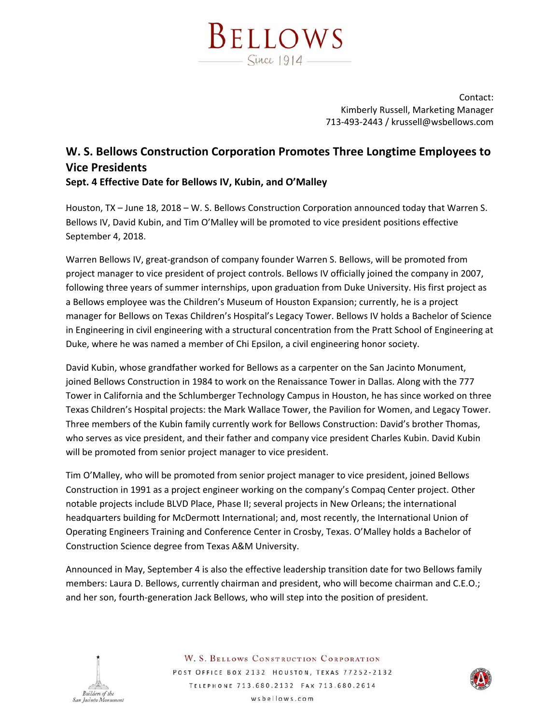

Contact: Kimberly Russell, Marketing Manager 713‐493‐2443 / krussell@wsbellows.com

## **W. S. Bellows Construction Corporation Promotes Three Longtime Employees to Vice Presidents**

**Sept. 4 Effective Date for Bellows IV, Kubin, and O'Malley** 

Houston, TX – June 18, 2018 – W. S. Bellows Construction Corporation announced today that Warren S. Bellows IV, David Kubin, and Tim O'Malley will be promoted to vice president positions effective September 4, 2018.

Warren Bellows IV, great‐grandson of company founder Warren S. Bellows, will be promoted from project manager to vice president of project controls. Bellows IV officially joined the company in 2007, following three years of summer internships, upon graduation from Duke University. His first project as a Bellows employee was the Children's Museum of Houston Expansion; currently, he is a project manager for Bellows on Texas Children's Hospital's Legacy Tower. Bellows IV holds a Bachelor of Science in Engineering in civil engineering with a structural concentration from the Pratt School of Engineering at Duke, where he was named a member of Chi Epsilon, a civil engineering honor society.

David Kubin, whose grandfather worked for Bellows as a carpenter on the San Jacinto Monument, joined Bellows Construction in 1984 to work on the Renaissance Tower in Dallas. Along with the 777 Tower in California and the Schlumberger Technology Campus in Houston, he has since worked on three Texas Children's Hospital projects: the Mark Wallace Tower, the Pavilion for Women, and Legacy Tower. Three members of the Kubin family currently work for Bellows Construction: David's brother Thomas, who serves as vice president, and their father and company vice president Charles Kubin. David Kubin will be promoted from senior project manager to vice president.

Tim O'Malley, who will be promoted from senior project manager to vice president, joined Bellows Construction in 1991 as a project engineer working on the company's Compaq Center project. Other notable projects include BLVD Place, Phase II; several projects in New Orleans; the international headquarters building for McDermott International; and, most recently, the International Union of Operating Engineers Training and Conference Center in Crosby, Texas. O'Malley holds a Bachelor of Construction Science degree from Texas A&M University.

Announced in May, September 4 is also the effective leadership transition date for two Bellows family members: Laura D. Bellows, currently chairman and president, who will become chairman and C.E.O.; and her son, fourth‐generation Jack Bellows, who will step into the position of president.



**W. S. BELLOWS CONSTRUCTION CORPORATION** POST OFFICE BOX 2132 HOUSTON, TEXAS 77252-2132 TELEPHONE 713.680.2132 FAX 713.680.2614 wsbellows.com